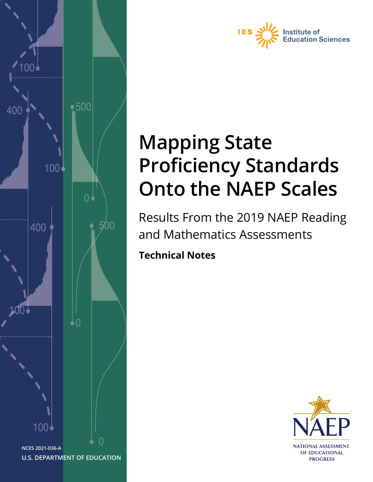



# **Mapping State Proficiency Standards Onto the NAEP Scales**

Results From the 2019 NAEP Reading and Mathematics Assessments

**Technical Notes**

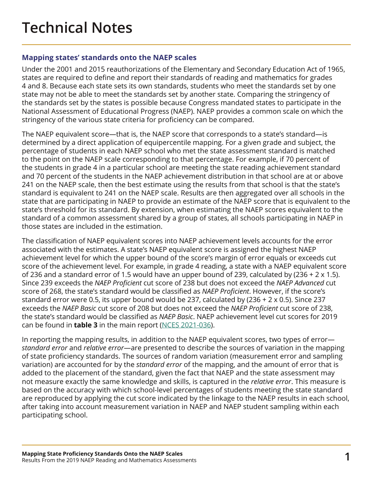## **Technical Notes**

### **Mapping states' standards onto the NAEP scales**

Under the 2001 and 2015 reauthorizations of the Elementary and Secondary Education Act of 1965, states are required to define and report their standards of reading and mathematics for grades 4 and 8. Because each state sets its own standards, students who meet the standards set by one state may not be able to meet the standards set by another state. Comparing the stringency of the standards set by the states is possible because Congress mandated states to participate in the National Assessment of Educational Progress (NAEP). NAEP provides a common scale on which the stringency of the various state criteria for proficiency can be compared.

The NAEP equivalent score—that is, the NAEP score that corresponds to a state's standard—is determined by a direct application of equipercentile mapping. For a given grade and subject, the percentage of students in each NAEP school who met the state assessment standard is matched to the point on the NAEP scale corresponding to that percentage. For example, if 70 percent of the students in grade 4 in a particular school are meeting the state reading achievement standard and 70 percent of the students in the NAEP achievement distribution in that school are at or above 241 on the NAEP scale, then the best estimate using the results from that school is that the state's standard is equivalent to 241 on the NAEP scale. Results are then aggregated over all schools in the state that are participating in NAEP to provide an estimate of the NAEP score that is equivalent to the state's threshold for its standard. By extension, when estimating the NAEP scores equivalent to the standard of a common assessment shared by a group of states, all schools participating in NAEP in those states are included in the estimation.

The classification of NAEP equivalent scores into NAEP achievement levels accounts for the error associated with the estimates. A state's NAEP equivalent score is assigned the highest NAEP achievement level for which the upper bound of the score's margin of error equals or exceeds cut score of the achievement level. For example, in grade 4 reading, a state with a NAEP equivalent score of 236 and a standard error of 1.5 would have an upper bound of 239, calculated by (236 + 2 x 1.5). Since 239 exceeds the *NAEP Proficient* cut score of 238 but does not exceed the *NAEP Advanced* cut score of 268, the state's standard would be classified as *NAEP Proficient*. However, if the score's standard error were 0.5, its upper bound would be 237, calculated by (236 + 2 x 0.5). Since 237 exceeds the *NAEP Basic* cut score of 208 but does not exceed the *NAEP Proficient* cut score of 238, the state's standard would be classified as *NAEP Basic*. NAEP achievement level cut scores for 2019 can be found in **table 3** in the main report ([NCES 2021-036](https://nces.ed.gov/nationsreportcard/subject/publications/studies/pdf/2021036.pdf)).

In reporting the mapping results, in addition to the NAEP equivalent scores, two types of error *standard error* and *relative error*—are presented to describe the sources of variation in the mapping of state proficiency standards. The sources of random variation (measurement error and sampling variation) are accounted for by the *standard error* of the mapping, and the amount of error that is added to the placement of the standard, given the fact that NAEP and the state assessment may not measure exactly the same knowledge and skills, is captured in the *relative error*. This measure is based on the accuracy with which school-level percentages of students meeting the state standard are reproduced by applying the cut score indicated by the linkage to the NAEP results in each school, after taking into account measurement variation in NAEP and NAEP student sampling within each participating school.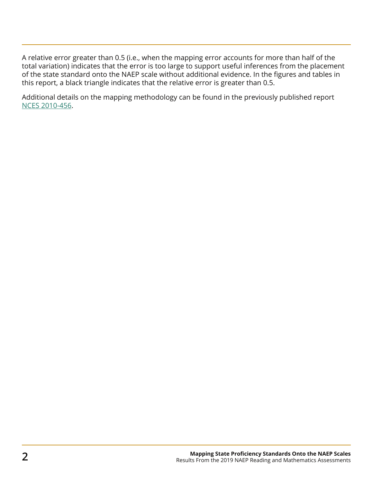A relative error greater than 0.5 (i.e., when the mapping error accounts for more than half of the total variation) indicates that the error is too large to support useful inferences from the placement of the state standard onto the NAEP scale without additional evidence. In the figures and tables in this report, a black triangle indicates that the relative error is greater than 0.5.

Additional details on the mapping methodology can be found in the previously published report [NCES 2010-456](https://nces.ed.gov/nationsreportcard/pdf/studies/2010456.pdf).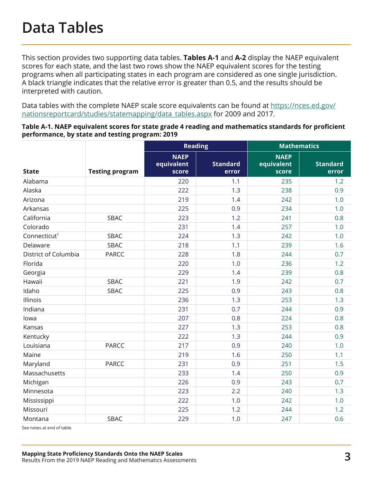This section provides two supporting data tables. **[Tables A-1](#page-3-0)** and **[A-2](#page-5-0)** display the NAEP equivalent scores for each state, and the last two rows show the NAEP equivalent scores for the testing programs when all participating states in each program are considered as one single jurisdiction. A black triangle indicates that the relative error is greater than 0.5, and the results should be interpreted with caution.

Data tables with the complete NAEP scale score equivalents can be found at [https://nces.ed.gov/](https://nces.ed.gov/nationsreportcard/studies/statemapping/data_tables.aspx) [nationsreportcard/studies/statemapping/data\\_tables.aspx](https://nces.ed.gov/nationsreportcard/studies/statemapping/data_tables.aspx) for 2009 and 2017.

<span id="page-3-0"></span>

| Table A-1. NAEP equivalent scores for state grade 4 reading and mathematics standards for proficient |
|------------------------------------------------------------------------------------------------------|
| performance, by state and testing program: 2019                                                      |

|                          |                        | <b>Reading</b>                     |                          | <b>Mathematics</b>                 |                          |
|--------------------------|------------------------|------------------------------------|--------------------------|------------------------------------|--------------------------|
| <b>State</b>             | <b>Testing program</b> | <b>NAEP</b><br>equivalent<br>score | <b>Standard</b><br>error | <b>NAEP</b><br>equivalent<br>score | <b>Standard</b><br>error |
| Alabama                  |                        | 220                                | 1.1                      | 235                                | 1.2                      |
| Alaska                   |                        | 222                                | 1.3                      | 238                                | 0.9                      |
| Arizona                  |                        | 219                                | 1.4                      | 242                                | 1.0                      |
| Arkansas                 |                        | 225                                | 0.9                      | 234                                | 1.0                      |
| California               | SBAC                   | 223                                | 1.2                      | 241                                | 0.8                      |
| Colorado                 |                        | 231                                | 1.4                      | 257                                | 1.0                      |
| Connecticut <sup>1</sup> | SBAC                   | 224                                | 1.3                      | 242                                | 1.0                      |
| Delaware                 | SBAC                   | 218                                | 1.1                      | 239                                | 1.6                      |
| District of Columbia     | <b>PARCC</b>           | 228                                | 1.8                      | 244                                | 0.7                      |
| Florida                  |                        | 220                                | 1.0                      | 236                                | 1.2                      |
| Georgia                  |                        | 229                                | 1.4                      | 239                                | 0.8                      |
| Hawaii                   | SBAC                   | 221                                | 1.9                      | 242                                | 0.7                      |
| Idaho                    | SBAC                   | 225                                | 0.9                      | 243                                | 0.8                      |
| Illinois                 |                        | 236                                | 1.3                      | 253                                | 1.3                      |
| Indiana                  |                        | 231                                | 0.7                      | 244                                | 0.9                      |
| lowa                     |                        | 207                                | 0.8                      | 224                                | 0.8                      |
| Kansas                   |                        | 227                                | 1.3                      | 253                                | 0.8                      |
| Kentucky                 |                        | 222                                | 1.3                      | 244                                | 0.9                      |
| Louisiana                | <b>PARCC</b>           | 217                                | 0.9                      | 240                                | 1.0                      |
| Maine                    |                        | 219                                | 1.6                      | 250                                | 1.1                      |
| Maryland                 | <b>PARCC</b>           | 231                                | 0.9                      | 251                                | 1.5                      |
| Massachusetts            |                        | 233                                | 1.4                      | 250                                | 0.9                      |
| Michigan                 |                        | 226                                | 0.9                      | 243                                | 0.7                      |
| Minnesota                |                        | 223                                | 2.2                      | 240                                | 1.3                      |
| Mississippi              |                        | 222                                | 1.0                      | 242                                | 1.0                      |
| Missouri                 |                        | 225                                | 1.2                      | 244                                | 1.2                      |
| Montana                  | SBAC                   | 229                                | 1.0                      | 247                                | 0.6                      |

See notes at end of table.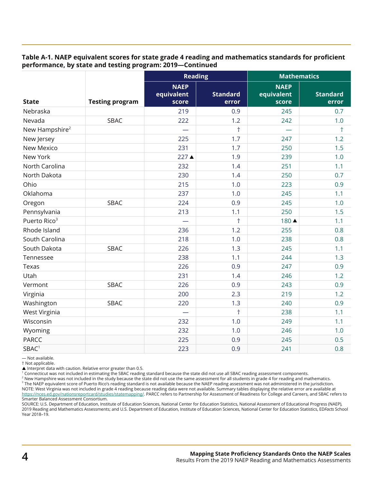#### **Table A-1. NAEP equivalent scores for state grade 4 reading and mathematics standards for proficient performance, by state and testing program: 2019—Continued**

|                            |                        |                                    | <b>Reading</b>           | <b>Mathematics</b>                 |                          |
|----------------------------|------------------------|------------------------------------|--------------------------|------------------------------------|--------------------------|
| <b>State</b>               | <b>Testing program</b> | <b>NAEP</b><br>equivalent<br>score | <b>Standard</b><br>error | <b>NAEP</b><br>equivalent<br>score | <b>Standard</b><br>error |
| Nebraska                   |                        | 219                                | 0.9                      | 245                                | 0.7                      |
| Nevada                     | SBAC                   | 222                                | 1.2                      | 242                                | 1.0                      |
| New Hampshire <sup>2</sup> |                        |                                    | $\ddagger$               |                                    | $\ddagger$               |
| New Jersey                 |                        | 225                                | 1.7                      | 247                                | 1.2                      |
| New Mexico                 |                        | 231                                | 1.7                      | 250                                | 1.5                      |
| New York                   |                        | 227 ▲                              | 1.9                      | 239                                | 1.0                      |
| North Carolina             |                        | 232                                | 1.4                      | 251                                | 1.1                      |
| North Dakota               |                        | 230                                | 1.4                      | 250                                | 0.7                      |
| Ohio                       |                        | 215                                | 1.0                      | 223                                | 0.9                      |
| Oklahoma                   |                        | 237                                | 1.0                      | 245                                | 1.1                      |
| Oregon                     | SBAC                   | 224                                | 0.9                      | 245                                | 1.0                      |
| Pennsylvania               |                        | 213                                | 1.1                      | 250                                | 1.5                      |
| Puerto Rico <sup>3</sup>   |                        |                                    | $\ddagger$               | 180 ▲                              | 1.1                      |
| Rhode Island               |                        | 236                                | 1.2                      | 255                                | 0.8                      |
| South Carolina             |                        | 218                                | 1.0                      | 238                                | 0.8                      |
| South Dakota               | SBAC                   | 226                                | 1.3                      | 245                                | 1.1                      |
| Tennessee                  |                        | 238                                | 1.1                      | 244                                | 1.3                      |
| Texas                      |                        | 226                                | 0.9                      | 247                                | 0.9                      |
| Utah                       |                        | 231                                | 1.4                      | 246                                | 1.2                      |
| Vermont                    | SBAC                   | 226                                | 0.9                      | 243                                | 0.9                      |
| Virginia                   |                        | 200                                | 2.3                      | 219                                | 1.2                      |
| Washington                 | SBAC                   | 220                                | 1.3                      | 240                                | 0.9                      |
| West Virginia              |                        |                                    | $\ddagger$               | 238                                | 1.1                      |
| Wisconsin                  |                        | 232                                | 1.0                      | 249                                | 1.1                      |
| Wyoming                    |                        | 232                                | 1.0                      | 246                                | 1.0                      |
| <b>PARCC</b>               |                        | 225                                | 0.9                      | 245                                | 0.5                      |
| SBAC <sup>1</sup>          |                        | 223                                | 0.9                      | 241                                | 0.8                      |

— Not available.

† Not applicable.

▲ Interpret data with caution. Relative error greater than 0.5.<br><sup>1</sup> Connecticut was not included in estimating the SBAC reading standard because the state did not use all SBAC reading assessment components.

 $^2$  New Hampshire was not included in the study because the state did not use the same assessment for all students in grade 4 for reading and mathematics.  $^3$  The NAEP equivalent score of Puerto Rico's reading standard is not available because the NAEP reading assessment was not administered in the jurisdiction. NOTE: West Virginia was not included in grade 4 reading because reading data were not available. Summary tables displaying the relative error are available at <https://nces.ed.gov/nationsreportcard/studies/statemapping/>. PARCC refers to Partnership for Assessment of Readiness for College and Careers, and SBAC refers to Smarter Balanced Assessment Consortium.

SOURCE: U.S. Department of Education, Institute of Education Sciences, National Center for Education Statistics, National Assessment of Educational Progress (NAEP), 2019 Reading and Mathematics Assessments; and U.S. Department of Education, Institute of Education Sciences, National Center for Education Statistics, ED*Facts* School Year 2018–19.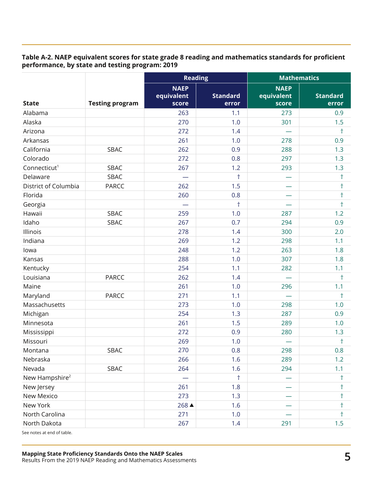#### <span id="page-5-0"></span>**Table A-2. NAEP equivalent scores for state grade 8 reading and mathematics standards for proficient performance, by state and testing program: 2019**

|                            |                        | <b>Reading</b>                     |                          | <b>Mathematics</b>                 |                          |
|----------------------------|------------------------|------------------------------------|--------------------------|------------------------------------|--------------------------|
| <b>State</b>               | <b>Testing program</b> | <b>NAEP</b><br>equivalent<br>score | <b>Standard</b><br>error | <b>NAEP</b><br>equivalent<br>score | <b>Standard</b><br>error |
| Alabama                    |                        | 263                                | 1.1                      | 273                                | 0.9                      |
| Alaska                     |                        | 270                                | 1.0                      | 301                                | 1.5                      |
| Arizona                    |                        | 272                                | 1.4                      |                                    | $\dagger$                |
| Arkansas                   |                        | 261                                | 1.0                      | 278                                | 0.9                      |
| California                 | SBAC                   | 262                                | 0.9                      | 288                                | 1.3                      |
| Colorado                   |                        | 272                                | 0.8                      | 297                                | 1.3                      |
| Connecticut <sup>1</sup>   | SBAC                   | 267                                | 1.2                      | 293                                | 1.3                      |
| Delaware                   | SBAC                   |                                    | $\ddagger$               |                                    | $\ddagger$               |
| District of Columbia       | <b>PARCC</b>           | 262                                | 1.5                      |                                    | $\ddagger$               |
| Florida                    |                        | 260                                | 0.8                      |                                    | $\dagger$                |
| Georgia                    |                        |                                    | $\ddagger$               |                                    | $\ddagger$               |
| Hawaii                     | SBAC                   | 259                                | 1.0                      | 287                                | 1.2                      |
| Idaho                      | SBAC                   | 267                                | 0.7                      | 294                                | 0.9                      |
| Illinois                   |                        | 278                                | 1.4                      | 300                                | 2.0                      |
| Indiana                    |                        | 269                                | 1.2                      | 298                                | 1.1                      |
| lowa                       |                        | 248                                | 1.2                      | 263                                | 1.8                      |
| Kansas                     |                        | 288                                | 1.0                      | 307                                | 1.8                      |
| Kentucky                   |                        | 254                                | 1.1                      | 282                                | 1.1                      |
| Louisiana                  | <b>PARCC</b>           | 262                                | 1.4                      |                                    | $\ddagger$               |
| Maine                      |                        | 261                                | 1.0                      | 296                                | 1.1                      |
| Maryland                   | <b>PARCC</b>           | 271                                | 1.1                      |                                    | $\ddagger$               |
| Massachusetts              |                        | 273                                | 1.0                      | 298                                | 1.0                      |
| Michigan                   |                        | 254                                | 1.3                      | 287                                | 0.9                      |
| Minnesota                  |                        | 261                                | 1.5                      | 289                                | 1.0                      |
| Mississippi                |                        | 272                                | 0.9                      | 280                                | 1.3                      |
| Missouri                   |                        | 269                                | 1.0                      |                                    | $\ddagger$               |
| Montana                    | SBAC                   | 270                                | 0.8                      | 298                                | 0.8                      |
| Nebraska                   |                        | 266                                | 1.6                      | 289                                | 1.2                      |
| Nevada                     | SBAC                   | 264                                | 1.6                      | 294                                | 1.1                      |
| New Hampshire <sup>2</sup> |                        |                                    | $\ddagger$               |                                    | $\dagger$                |
| New Jersey                 |                        | 261                                | 1.8                      |                                    | $\ddagger$               |
| New Mexico                 |                        | 273                                | 1.3                      |                                    | $\ddagger$               |
| New York                   |                        | 268 ▲                              | 1.6                      |                                    | $^\dagger$               |
| North Carolina             |                        | 271                                | 1.0                      |                                    | $\ddagger$               |
| North Dakota               |                        | 267                                | 1.4                      | 291                                | 1.5                      |

See notes at end of table.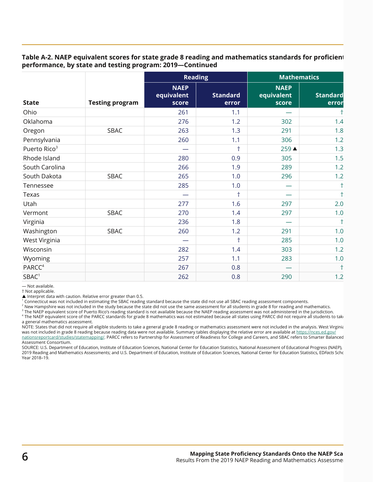#### **Table A-2. NAEP equivalent scores for state grade 8 reading and mathematics standards for proficient performance, by state and testing program: 2019—Continued**

|                          | <b>Testing program</b> | <b>Reading</b>                     |                          | <b>Mathematics</b>                 |                          |
|--------------------------|------------------------|------------------------------------|--------------------------|------------------------------------|--------------------------|
| <b>State</b>             |                        | <b>NAEP</b><br>equivalent<br>score | <b>Standard</b><br>error | <b>NAEP</b><br>equivalent<br>score | <b>Standard</b><br>error |
| Ohio                     |                        | 261                                | 1.1                      |                                    | $\ddagger$               |
| Oklahoma                 |                        | 276                                | 1.2                      | 302                                | 1.4                      |
| Oregon                   | SBAC                   | 263                                | 1.3                      | 291                                | 1.8                      |
| Pennsylvania             |                        | 260                                | 1.1                      | 306                                | 1.2                      |
| Puerto Rico <sup>3</sup> |                        |                                    | $\ddagger$               | 259 ▲                              | 1.3                      |
| Rhode Island             |                        | 280                                | 0.9                      | 305                                | 1.5                      |
| South Carolina           |                        | 266                                | 1.9                      | 289                                | 1.2                      |
| South Dakota             | SBAC                   | 265                                | 1.0                      | 296                                | 1.2                      |
| Tennessee                |                        | 285                                | 1.0                      |                                    | $\ddagger$               |
| Texas                    |                        |                                    | $\ddagger$               |                                    | $\ddagger$               |
| Utah                     |                        | 277                                | 1.6                      | 297                                | 2.0                      |
| Vermont                  | SBAC                   | 270                                | 1.4                      | 297                                | 1.0                      |
| Virginia                 |                        | 236                                | 1.8                      |                                    | $\ddagger$               |
| Washington               | SBAC                   | 260                                | 1.2                      | 291                                | 1.0                      |
| West Virginia            |                        |                                    | $\ddagger$               | 285                                | 1.0                      |
| Wisconsin                |                        | 282                                | 1.4                      | 303                                | 1.2                      |
| Wyoming                  |                        | 257                                | 1.1                      | 283                                | 1.0                      |
| PARCC <sup>4</sup>       |                        | 267                                | 0.8                      |                                    | $\ddagger$               |
| SBAC <sup>1</sup>        |                        | 262                                | 0.8                      | 290                                | 1.2                      |

— Not available.

† Not applicable.

Interpret data with caution. Relative error greater than 0.5.

<sup>1</sup> Connecticut was not included in estimating the SBAC reading standard because the state did not use all SBAC reading assessment components.

<sup>2</sup> New Hampshire was not included in the study because the state did not use the same assessment for all students in grade 8 for reading and mathematics.

 $^3$  The NAEP equivalent score of Puerto Rico's reading standard is not available because the NAEP reading assessment was not administered in the jurisdiction.

4 The NAEP equivalent score of the PARCC standards for grade 8 mathematics was not estimated because all states using PARCC did not require all students to take a general mathematics assessment.

NOTE: States that did not require all eligible students to take a general grade 8 reading or mathematics assessment were not included in the analysis. West Virginia was not included in grade 8 reading because reading data were not available. Summary tables displaying the relative error are available at [https://nces.ed.gov/](https://nces.ed.gov/nationsreportcard/studies/statemapping/) [nationsreportcard/studies/statemapping/](https://nces.ed.gov/nationsreportcard/studies/statemapping/). PARCC refers to Partnership for Assessment of Readiness for College and Careers, and SBAC refers to Smarter Balanced Assessment Consortium.

SOURCE: U.S. Department of Education, Institute of Education Sciences, National Center for Education Statistics, National Assessment of Educational Progress (NAEP), 2019 Reading and Mathematics Assessments; and U.S. Department of Education, Institute of Education Sciences, National Center for Education Statistics, ED*Facts* School Year 2018–19.